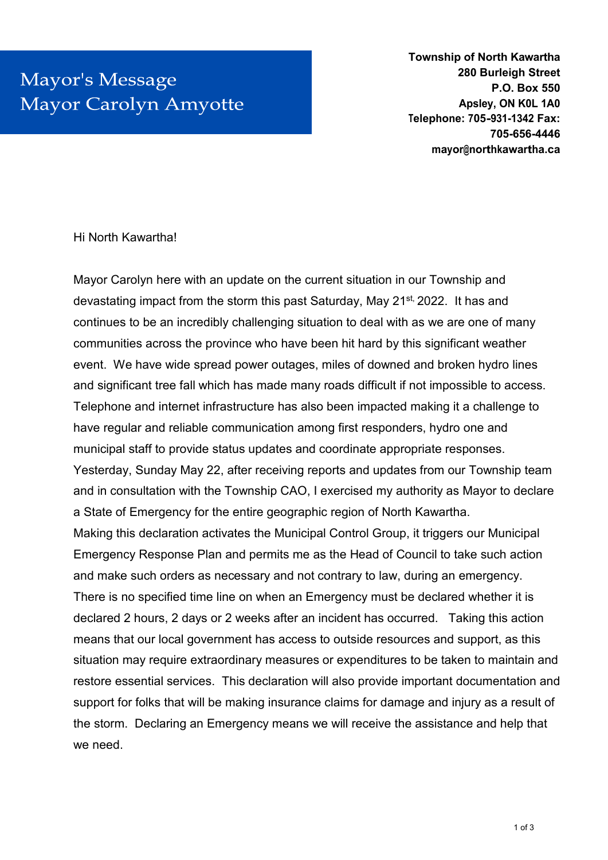## Mayor's Message **Mayor Carolyn Amyotte**

**Township of North Kawartha 280 Burleigh Street P.O. Box 550 Apsley, ON K0L 1A0 Telephone: 705-931-1342 Fax: 705-656-4446 mayor@northkawartha.ca** 

## Hi North Kawartha!

Mayor Carolyn here with an update on the current situation in our Township and devastating impact from the storm this past Saturday, May 21<sup>st,</sup> 2022. It has and continues to be an incredibly challenging situation to deal with as we are one of many communities across the province who have been hit hard by this significant weather event. We have wide spread power outages, miles of downed and broken hydro lines and significant tree fall which has made many roads difficult if not impossible to access. Telephone and internet infrastructure has also been impacted making it a challenge to have regular and reliable communication among first responders, hydro one and municipal staff to provide status updates and coordinate appropriate responses. Yesterday, Sunday May 22, after receiving reports and updates from our Township team and in consultation with the Township CAO, I exercised my authority as Mayor to declare a State of Emergency for the entire geographic region of North Kawartha. Making this declaration activates the Municipal Control Group, it triggers our Municipal Emergency Response Plan and permits me as the Head of Council to take such action and make such orders as necessary and not contrary to law, during an emergency. There is no specified time line on when an Emergency must be declared whether it is declared 2 hours, 2 days or 2 weeks after an incident has occurred. Taking this action means that our local government has access to outside resources and support, as this situation may require extraordinary measures or expenditures to be taken to maintain and restore essential services. This declaration will also provide important documentation and support for folks that will be making insurance claims for damage and injury as a result of the storm. Declaring an Emergency means we will receive the assistance and help that we need.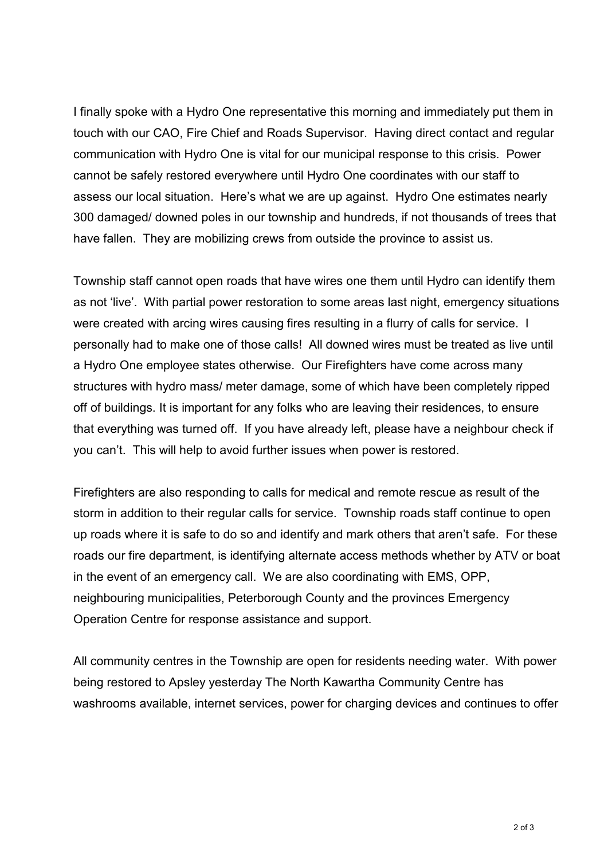I finally spoke with a Hydro One representative this morning and immediately put them in touch with our CAO, Fire Chief and Roads Supervisor. Having direct contact and regular communication with Hydro One is vital for our municipal response to this crisis. Power cannot be safely restored everywhere until Hydro One coordinates with our staff to assess our local situation. Here's what we are up against. Hydro One estimates nearly 300 damaged/ downed poles in our township and hundreds, if not thousands of trees that have fallen. They are mobilizing crews from outside the province to assist us.

Township staff cannot open roads that have wires one them until Hydro can identify them as not 'live'. With partial power restoration to some areas last night, emergency situations were created with arcing wires causing fires resulting in a flurry of calls for service. I personally had to make one of those calls! All downed wires must be treated as live until a Hydro One employee states otherwise. Our Firefighters have come across many structures with hydro mass/ meter damage, some of which have been completely ripped off of buildings. It is important for any folks who are leaving their residences, to ensure that everything was turned off. If you have already left, please have a neighbour check if you can't. This will help to avoid further issues when power is restored.

Firefighters are also responding to calls for medical and remote rescue as result of the storm in addition to their regular calls for service. Township roads staff continue to open up roads where it is safe to do so and identify and mark others that aren't safe. For these roads our fire department, is identifying alternate access methods whether by ATV or boat in the event of an emergency call. We are also coordinating with EMS, OPP, neighbouring municipalities, Peterborough County and the provinces Emergency Operation Centre for response assistance and support.

All community centres in the Township are open for residents needing water. With power being restored to Apsley yesterday The North Kawartha Community Centre has washrooms available, internet services, power for charging devices and continues to offer